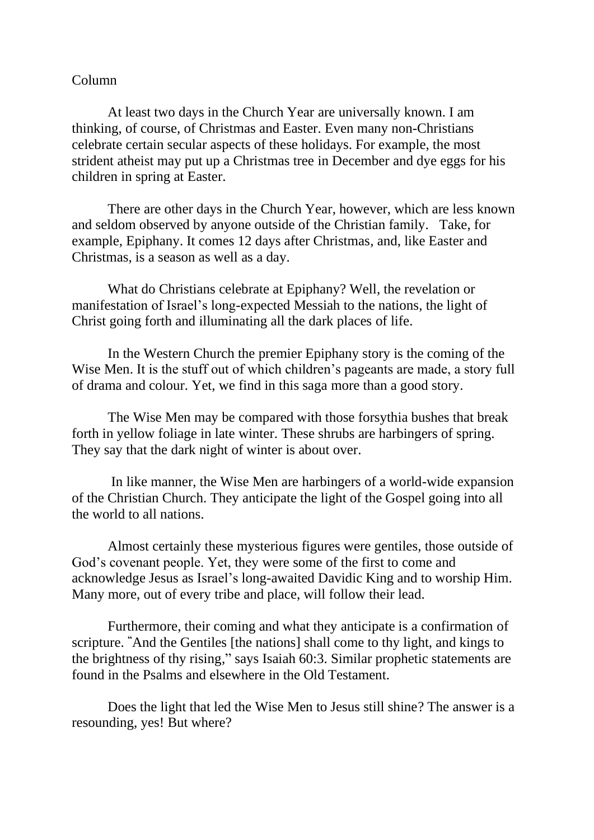## Column

At least two days in the Church Year are universally known. I am thinking, of course, of Christmas and Easter. Even many non-Christians celebrate certain secular aspects of these holidays. For example, the most strident atheist may put up a Christmas tree in December and dye eggs for his children in spring at Easter.

There are other days in the Church Year, however, which are less known and seldom observed by anyone outside of the Christian family. Take, for example, Epiphany. It comes 12 days after Christmas, and, like Easter and Christmas, is a season as well as a day.

What do Christians celebrate at Epiphany? Well, the revelation or manifestation of Israel's long-expected Messiah to the nations, the light of Christ going forth and illuminating all the dark places of life.

In the Western Church the premier Epiphany story is the coming of the Wise Men. It is the stuff out of which children's pageants are made, a story full of drama and colour. Yet, we find in this saga more than a good story.

The Wise Men may be compared with those forsythia bushes that break forth in yellow foliage in late winter. These shrubs are harbingers of spring. They say that the dark night of winter is about over.

In like manner, the Wise Men are harbingers of a world-wide expansion of the Christian Church. They anticipate the light of the Gospel going into all the world to all nations.

Almost certainly these mysterious figures were gentiles, those outside of God's covenant people. Yet, they were some of the first to come and acknowledge Jesus as Israel's long-awaited Davidic King and to worship Him. Many more, out of every tribe and place, will follow their lead.

Furthermore, their coming and what they anticipate is a confirmation of scripture. **"**And the Gentiles [the nations] shall come to thy light, and kings to the brightness of thy rising," says Isaiah 60:3. Similar prophetic statements are found in the Psalms and elsewhere in the Old Testament.

Does the light that led the Wise Men to Jesus still shine? The answer is a resounding, yes! But where?